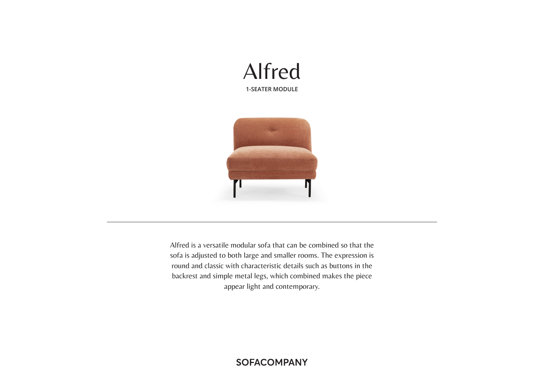



Alfred is a versatile modular sofa that can be combined so that the sofa is adjusted to both large and smaller rooms. The expression is round and classic with characteristic details such as buttons in the backrest and simple metal legs, which combined makes the piece appear light and contemporary.

**SOFACOMPANY**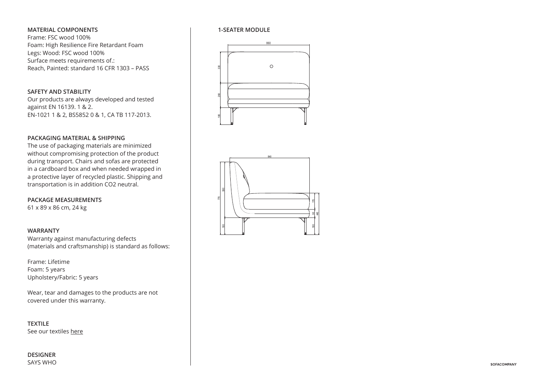# **MATERIAL COMPONENTS**

Frame: FSC wood 100% Foam: High Resilience Fire Retardant Foam Legs: Wood: FSC wood 100% Surface meets requirements of.: Reach, Painted: standard 16 CFR 1303 – PASS

## **SAFETY AND STABILITY**

Our products are always developed and tested against EN 16139. 1 & 2. EN-1021 1 & 2, BS5852 0 & 1, CA TB 117-2013.

# **PACKAGING MATERIAL & SHIPPING**

The use of packaging materials are minimized without compromising protection of the product during transport. Chairs and sofas are protected in a cardboard box and when needed wrapped in a protective layer of recycled plastic. Shipping and transportation is in addition CO2 neutral.  $\mathsf{S}$  .

**PACKAGE MEASUREMENTS** 61 x 89 x 86 cm, 24 kg

## **WARRANTY**

Warranty against manufacturing defects (materials and craftsmanship) is standard as follows: 860

Frame: Lifetime Foam: 5 years Upholstery/Fabric: 5 years

Wear, tear and damages to the products are not covered under this warranty.  $\frac{1}{2}$ 

**TEXTILE** See our textiles here



### **1-SEATER MODULE**